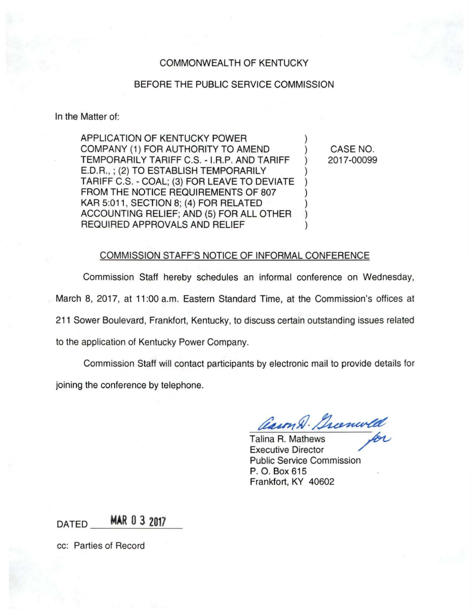## COMMONWEALTH OF KENTUCKY

## BEFORE THE PUBLIC SERVICE COMMISSION

In the Matter of:

APPLICATION OF KENTUCKY POWER COMPANY (1) FOR AUTHORITY TO AMEND ) TEMPORARILY TARIFF C.S. - I.R.P. AND TARIFF ) E.D.R., ; (2) TO ESTABLISH TEMPORARILY ) TARIFF C.S. - COAL; (3) FOR LEAVE TO DEVIATE ) FROM THE NOTICE REQUIREMENTS OF 807 KAR 5:011, SECTION 8; (4) FOR RELATED ACCOUNTING RELIEF; AND (5) FOR ALL OTHER ) REQUIRED APPROVALS AND RELIEF

CASE NO. 2017-00099

## COMMISSION STAFF'S NOTICE OF INFORMAL CONFERENCE

Commission Staff hereby schedules an informal conference on Wednesday,

March 8, 2017, at 11:00 a.m. Eastern Standard Time, at the Commission's offices at

211 Sower Boulevard, Frankfort, Kentucky, to discuss certain outstanding issues related

to the application of Kentucky Power Company.

Commission Staff will contact participants by electronic mail to provide details for joining the conference by telephone.

Caron &. Greenwell

Talina R. Mathews Executive Director Public Service Commission P. O. Box 615 Frankfort, KY 40602

 $DATA$  **MAR** 0 3 2017

cc: Parties of Record